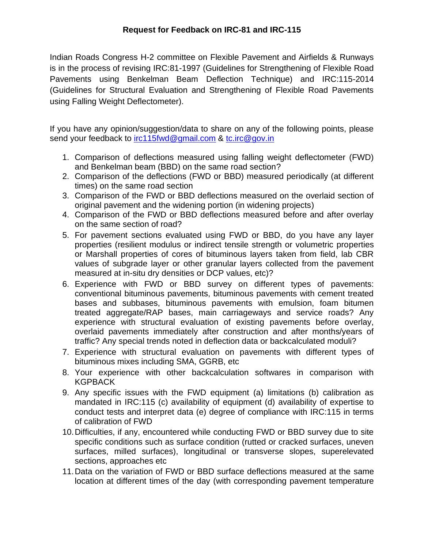Indian Roads Congress H-2 committee on Flexible Pavement and Airfields & Runways is in the process of revising IRC:81-1997 (Guidelines for Strengthening of Flexible Road Pavements using Benkelman Beam Deflection Technique) and IRC:115-2014 (Guidelines for Structural Evaluation and Strengthening of Flexible Road Pavements using Falling Weight Deflectometer).

If you have any opinion/suggestion/data to share on any of the following points, please send your feedback to [irc115fwd@gmail.com](mailto:irc115fwd@gmail.com) & [tc.irc@gov.in](mailto:tc.irc@gov.in)

- 1. Comparison of deflections measured using falling weight deflectometer (FWD) and Benkelman beam (BBD) on the same road section?
- 2. Comparison of the deflections (FWD or BBD) measured periodically (at different times) on the same road section
- 3. Comparison of the FWD or BBD deflections measured on the overlaid section of original pavement and the widening portion (in widening projects)
- 4. Comparison of the FWD or BBD deflections measured before and after overlay on the same section of road?
- 5. For pavement sections evaluated using FWD or BBD, do you have any layer properties (resilient modulus or indirect tensile strength or volumetric properties or Marshall properties of cores of bituminous layers taken from field, lab CBR values of subgrade layer or other granular layers collected from the pavement measured at in-situ dry densities or DCP values, etc)?
- 6. Experience with FWD or BBD survey on different types of pavements: conventional bituminous pavements, bituminous pavements with cement treated bases and subbases, bituminous pavements with emulsion, foam bitumen treated aggregate/RAP bases, main carriageways and service roads? Any experience with structural evaluation of existing pavements before overlay, overlaid pavements immediately after construction and after months/years of traffic? Any special trends noted in deflection data or backcalculated moduli?
- 7. Experience with structural evaluation on pavements with different types of bituminous mixes including SMA, GGRB, etc
- 8. Your experience with other backcalculation softwares in comparison with KGPBACK
- 9. Any specific issues with the FWD equipment (a) limitations (b) calibration as mandated in IRC:115 (c) availability of equipment (d) availability of expertise to conduct tests and interpret data (e) degree of compliance with IRC:115 in terms of calibration of FWD
- 10.Difficulties, if any, encountered while conducting FWD or BBD survey due to site specific conditions such as surface condition (rutted or cracked surfaces, uneven surfaces, milled surfaces), longitudinal or transverse slopes, superelevated sections, approaches etc
- 11.Data on the variation of FWD or BBD surface deflections measured at the same location at different times of the day (with corresponding pavement temperature